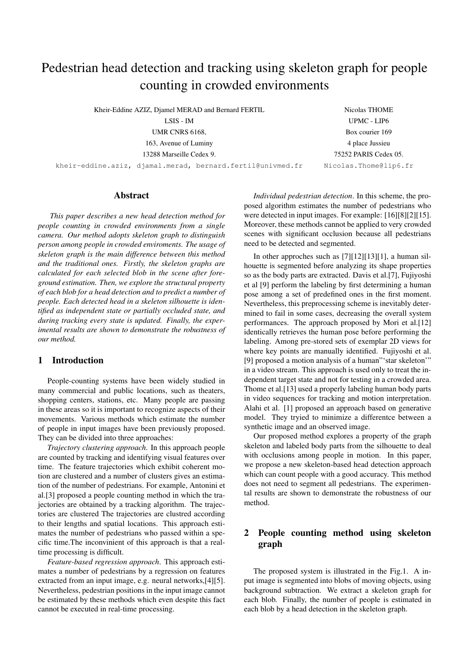# Pedestrian head detection and tracking using skeleton graph for people counting in crowded environments

Kheir-Eddine AZIZ, Djamel MERAD and Bernard FERTIL

LSIS - IM

UMR CNRS 6168,

163, Avenue of Luminy

13288 Marseille Cedex 9.

kheir-eddine.aziz, djamal.merad, bernard.fertil@univmed.fr

Nicolas THOME UPMC - LIP6 Box courier 169 4 place Jussieu 75252 PARIS Cedex 05. Nicolas.Thome@lip6.fr

# Abstract

*This paper describes a new head detection method for people counting in crowded environments from a single camera. Our method adopts skeleton graph to distinguish person among people in crowded enviroments. The usage of skeleton graph is the main difference between this method and the traditional ones. Firstly, the skeleton graphs are calculated for each selected blob in the scene after foreground estimation. Then, we explore the structural property of each blob for a head detection and to predict a number of people. Each detected head in a skeleton silhouette is identified as independent state or partially occluded state, and during tracking every state is updated. Finally, the experimental results are shown to demonstrate the robustness of our method.*

# 1 Introduction

People-counting systems have been widely studied in many commercial and public locations, such as theaters, shopping centers, stations, etc. Many people are passing in these areas so it is important to recognize aspects of their movements. Various methods which estimate the number of people in input images have been previously proposed. They can be divided into three approaches:

*Trajectory clustering approach*. In this approach people are counted by tracking and identifying visual features over time. The feature trajectories which exhibit coherent motion are clustered and a number of clusters gives an estimation of the number of pedestrians. For example, Antonini et al.[3] proposed a people counting method in which the trajectories are obtained by a tracking algorithm. The trajectories are clustered The trajectories are clustred according to their lengths and spatial locations. This approach estimates the number of pedestrians who passed within a specific time.The inconvinient of this approach is that a realtime processing is difficult.

*Feature-based regression approach*. This approach estimates a number of pedestrians by a regression on features extracted from an input image, e.g. neural networks,[4][5]. Nevertheless, pedestrian positions in the input image cannot be estimated by these methods which even despite this fact cannot be executed in real-time processing.

*Individual pedestrian detection*. In this scheme, the proposed algorithm estimates the number of pedestrians who were detected in input images. For example: [16][8][2][15]. Moreover, these methods cannot be applied to very crowded scenes with significant occlusion because all pedestrians need to be detected and segmented.

In other approches such as [7][12][13][1], a human silhouette is segmented before analyzing its shape properties so as the body parts are extracted. Davis et al.[7], Fujiyoshi et al [9] perform the labeling by first determining a human pose among a set of predefined ones in the first moment. Nevertheless, this preprocessing scheme is inevitably determined to fail in some cases, decreasing the overall system performances. The approach proposed by Mori et al.[12] identically retrieves the human pose before performing the labeling. Among pre-stored sets of exemplar 2D views for where key points are manually identified. Fujiyoshi et al. [9] proposed a motion analysis of a human" star skeleton" in a video stream. This approach is used only to treat the independent target state and not for testing in a crowded area. Thome et al.[13] used a properly labeling human body parts in video sequences for tracking and motion interpretation. Alahi et al. [1] proposed an approach based on generative model. They tryied to minimize a differentce between a synthetic image and an observed image.

Our proposed method explores a property of the graph skeleton and labeled body parts from the silhouette to deal with occlusions among people in motion. In this paper, we propose a new skeleton-based head detection approach which can count people with a good accuracy. This method does not need to segment all pedestrians. The experimental results are shown to demonstrate the robustness of our method.

# 2 People counting method using skeleton graph

The proposed system is illustrated in the Fig.1. A input image is segmented into blobs of moving objects, using background subtraction. We extract a skeleton graph for each blob. Finally, the number of people is estimated in each blob by a head detection in the skeleton graph.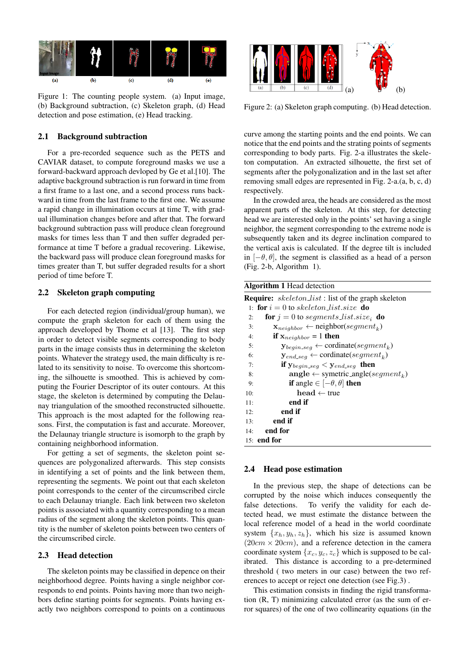

Figure 1: The counting people system. (a) Input image, (b) Background subtraction, (c) Skeleton graph, (d) Head detection and pose estimation, (e) Head tracking.

#### 2.1 Background subtraction

For a pre-recorded sequence such as the PETS and CAVIAR dataset, to compute foreground masks we use a forward-backward approach devloped by Ge et al.[10]. The adaptive background subtraction is run forward in time from a first frame to a last one, and a second process runs backward in time from the last frame to the first one. We assume a rapid change in illumination occurs at time T, with gradual illumination changes before and after that. The forward background subtraction pass will produce clean foreground masks for times less than T and then suffer degraded performance at time T before a gradual recovering. Likewise, the backward pass will produce clean foreground masks for times greater than T, but suffer degraded results for a short period of time before T.

#### 2.2 Skeleton graph computing

For each detected region (individual/group human), we compute the graph skeleton for each of them using the approach developed by Thome et al [13]. The first step in order to detect visible segments corresponding to body parts in the image consists thus in determining the skeleton points. Whatever the strategy used, the main difficulty is related to its sensitivity to noise. To overcome this shortcoming, the silhouette is smoothed. This is achieved by computing the Fourier Descriptor of its outer contours. At this stage, the skeleton is determined by computing the Delaunay triangulation of the smoothed reconstructed silhouette. This approach is the most adapted for the following reasons. First, the computation is fast and accurate. Moreover, the Delaunay triangle structure is isomorph to the graph by containing neighborhood information.

For getting a set of segments, the skeleton point sequences are polygonalized afterwards. This step consists in identifying a set of points and the link between them, representing the segments. We point out that each skeleton point corresponds to the center of the circumscribed circle to each Delaunay triangle. Each link between two skeleton points is associated with a quantity corresponding to a mean radius of the segment along the skeleton points. This quantity is the number of skeleton points between two centers of the circumscribed circle.

#### 2.3 Head detection

The skeleton points may be classified in depence on their neighborhood degree. Points having a single neighbor corresponds to end points. Points having more than two neighbors define starting points for segments. Points having exactly two neighbors correspond to points on a continuous



Figure 2: (a) Skeleton graph computing. (b) Head detection.

curve among the starting points and the end points. We can notice that the end points and the strating points of segments corresponding to body parts. Fig. 2-a illustrates the skeleton computation. An extracted silhouette, the first set of segments after the polygonalization and in the last set after removing small edges are represented in Fig. 2-a.(a, b, c, d) respectively.

In the crowded area, the heads are considered as the most apparent parts of the skeleton. At this step, for detecting head we are interested only in the points' set having a single neighbor, the segment corresponding to the extreme node is subsequently taken and its degree inclination compared to the vertical axis is calculated. If the degree tilt is included in  $[-\theta, \theta]$ , the segment is classified as a head of a person (Fig. 2-b, Algorithm 1).

| <b>Algorithm 1</b> Head detection                          |                                                                |  |  |  |  |
|------------------------------------------------------------|----------------------------------------------------------------|--|--|--|--|
| <b>Require:</b> skeleton_list : list of the graph skeleton |                                                                |  |  |  |  |
| 1: for $i = 0$ to skeleton list size do                    |                                                                |  |  |  |  |
| 2:                                                         | <b>for</b> $j = 0$ to segments list size, <b>do</b>            |  |  |  |  |
| 3:                                                         | $\mathbf{x}_{neighbor} \leftarrow \text{neighbor}(segment_k)$  |  |  |  |  |
| 4:                                                         | if $\mathbf{x}_{neighbor} = 1$ then                            |  |  |  |  |
| 5:                                                         | $\mathbf{y}_{begin-seq} \leftarrow \text{ordinate}(segment_k)$ |  |  |  |  |
| 6:                                                         | $\mathbf{y}_{end\_seq} \leftarrow \text{ordinate}(segment_k)$  |  |  |  |  |
| 7:                                                         | if $y_{begin-seq} < y_{end-seq}$ then                          |  |  |  |  |
| 8:                                                         | $angle \leftarrow$ symetric_angle(segment <sub>k</sub> )       |  |  |  |  |
| 9:                                                         | <b>if</b> angle $\in [-\theta, \theta]$ then                   |  |  |  |  |
| 10:                                                        | $head \leftarrow true$                                         |  |  |  |  |
| 11:                                                        | end if                                                         |  |  |  |  |
| 12:                                                        | end if                                                         |  |  |  |  |
| 13:                                                        | end if                                                         |  |  |  |  |
| 14:                                                        | end for                                                        |  |  |  |  |
|                                                            | $15:$ end for                                                  |  |  |  |  |

#### 2.4 Head pose estimation

In the previous step, the shape of detections can be corrupted by the noise which induces consequently the false detections. To verify the validity for each detected head, we must estimate the distance between the local reference model of a head in the world coordinate system  $\{x_h, y_h, z_h\}$ , which his size is assumed known  $(20cm \times 20cm)$ , and a reference detection in the camera coordinate system  $\{x_c, y_c, z_c\}$  which is supposed to be calibrated. This distance is according to a pre-determined threshold ( two meters in our case) between the two references to accept or reject one detection (see Fig.3) .

This estimation consists in finding the rigid transformation (R, T) minimizing calculated error (as the sum of error squares) of the one of two collinearity equations (in the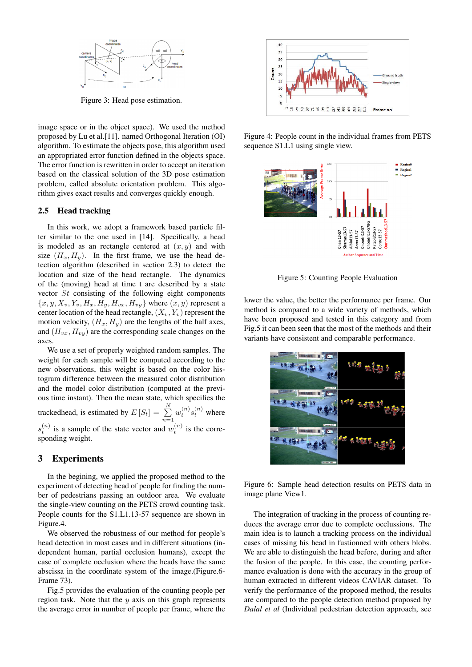

Figure 3: Head pose estimation.

image space or in the object space). We used the method proposed by Lu et al.[11]. named Orthogonal Iteration (OI) algorithm. To estimate the objects pose, this algorithm used an appropriated error function defined in the objects space. The error function is rewritten in order to accept an iteration based on the classical solution of the 3D pose estimation problem, called absolute orientation problem. This algorithm gives exact results and converges quickly enough.

#### 2.5 Head tracking

In this work, we adopt a framework based particle filter similar to the one used in [14]. Specifically, a head is modeled as an rectangle centered at  $(x, y)$  and with size  $(H_x, H_y)$ . In the first frame, we use the head detection algorithm (described in section 2.3) to detect the location and size of the head rectangle. The dynamics of the (moving) head at time t are described by a state vector *St* consisting of the following eight components  ${x, y, X_v, Y_v, H_x, H_y, H_{vx}, H_{vy}}$  where  $(x, y)$  represent a center location of the head rectangle,  $(X_v, Y_v)$  represent the motion velocity,  $(H_x, H_y)$  are the lengths of the half axes, and (*Hvx, Hvy*) are the corresponding scale changes on the axes.

We use a set of properly weighted random samples. The weight for each sample will be computed according to the new observations, this weight is based on the color histogram difference between the measured color distribution and the model color distribution (computed at the previous time instant). Then the mean state, which specifies the trackedhead, is estimated by  $E[S_t] = \sum_{i=1}^{N}$  $\sum_{n=1}^{\infty} w_t^{(n)} s_t^{(n)}$  where  $s_t^{(n)}$  is a sample of the state vector and  $w_t^{(n)}$  is the corresponding weight.

#### 3 Experiments

In the begining, we applied the proposed method to the experiment of detecting head of people for finding the number of pedestrians passing an outdoor area. We evaluate the single-view counting on the PETS crowd counting task. People counts for the S1.L1.13-57 sequence are shown in Figure.4.

We observed the robustness of our method for people's head detection in most cases and in different situations (independent human, partial occlusion humans), except the case of complete occlusion where the heads have the same abscissa in the coordinate system of the image.(Figure.6- Frame 73).

Fig.5 provides the evaluation of the counting people per region task. Note that the *y* axis on this graph represents the average error in number of people per frame, where the



Figure 4: People count in the individual frames from PETS sequence S1.L1 using single view.



Figure 5: Counting People Evaluation

lower the value, the better the performance per frame. Our method is compared to a wide variety of methods, which have been proposed and tested in this category and from Fig.5 it can been seen that the most of the methods and their variants have consistent and comparable performance.



Figure 6: Sample head detection results on PETS data in image plane View1.

The integration of tracking in the process of counting reduces the average error due to complete occlussions. The main idea is to launch a tracking process on the individual cases of missing his head in fustionned with others blobs. We are able to distinguish the head before, during and after the fusion of the people. In this case, the counting performance evaluation is done with the accuracy in the group of human extracted in different videos CAVIAR dataset. To verify the performance of the proposed method, the results are compared to the people detection method proposed by *Dalal et al* (Individual pedestrian detection approach, see